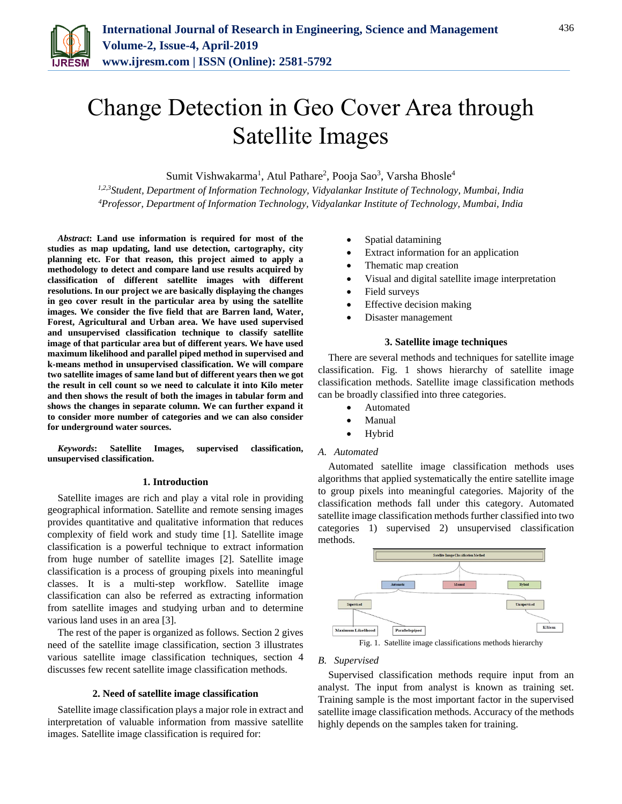

# Change Detection in Geo Cover Area through Satellite Images

Sumit Vishwakarma<sup>1</sup>, Atul Pathare<sup>2</sup>, Pooja Sao<sup>3</sup>, Varsha Bhosle<sup>4</sup>

*1,2,3Student, Department of Information Technology, Vidyalankar Institute of Technology, Mumbai, India 4Professor, Department of Information Technology, Vidyalankar Institute of Technology, Mumbai, India*

*Abstract***: Land use information is required for most of the studies as map updating, land use detection, cartography, city planning etc. For that reason, this project aimed to apply a methodology to detect and compare land use results acquired by classification of different satellite images with different resolutions. In our project we are basically displaying the changes in geo cover result in the particular area by using the satellite images. We consider the five field that are Barren land, Water, Forest, Agricultural and Urban area. We have used supervised and unsupervised classification technique to classify satellite image of that particular area but of different years. We have used maximum likelihood and parallel piped method in supervised and k-means method in unsupervised classification. We will compare two satellite images of same land but of different years then we got the result in cell count so we need to calculate it into Kilo meter and then shows the result of both the images in tabular form and shows the changes in separate column. We can further expand it to consider more number of categories and we can also consider for underground water sources.**

*Keywords***: Satellite Images, supervised classification, unsupervised classification.**

#### **1. Introduction**

Satellite images are rich and play a vital role in providing geographical information. Satellite and remote sensing images provides quantitative and qualitative information that reduces complexity of field work and study time [1]. Satellite image classification is a powerful technique to extract information from huge number of satellite images [2]. Satellite image classification is a process of grouping pixels into meaningful classes. It is a multi-step workflow. Satellite image classification can also be referred as extracting information from satellite images and studying urban and to determine various land uses in an area [3].

The rest of the paper is organized as follows. Section 2 gives need of the satellite image classification, section 3 illustrates various satellite image classification techniques, section 4 discusses few recent satellite image classification methods.

### **2. Need of satellite image classification**

Satellite image classification plays a major role in extract and interpretation of valuable information from massive satellite images. Satellite image classification is required for:

- Spatial datamining
- Extract information for an application
- Thematic map creation
- Visual and digital satellite image interpretation
- Field surveys
- Effective decision making
- Disaster management

#### **3. Satellite image techniques**

There are several methods and techniques for satellite image classification. Fig. 1 shows hierarchy of satellite image classification methods. Satellite image classification methods can be broadly classified into three categories.

- Automated
- Manual
- Hybrid

#### *A. Automated*

Automated satellite image classification methods uses algorithms that applied systematically the entire satellite image to group pixels into meaningful categories. Majority of the classification methods fall under this category. Automated satellite image classification methods further classified into two categories 1) supervised 2) unsupervised classification methods.



Fig. 1. Satellite image classifications methods hierarchy

#### *B. Supervised*

Supervised classification methods require input from an analyst. The input from analyst is known as training set. Training sample is the most important factor in the supervised satellite image classification methods. Accuracy of the methods highly depends on the samples taken for training.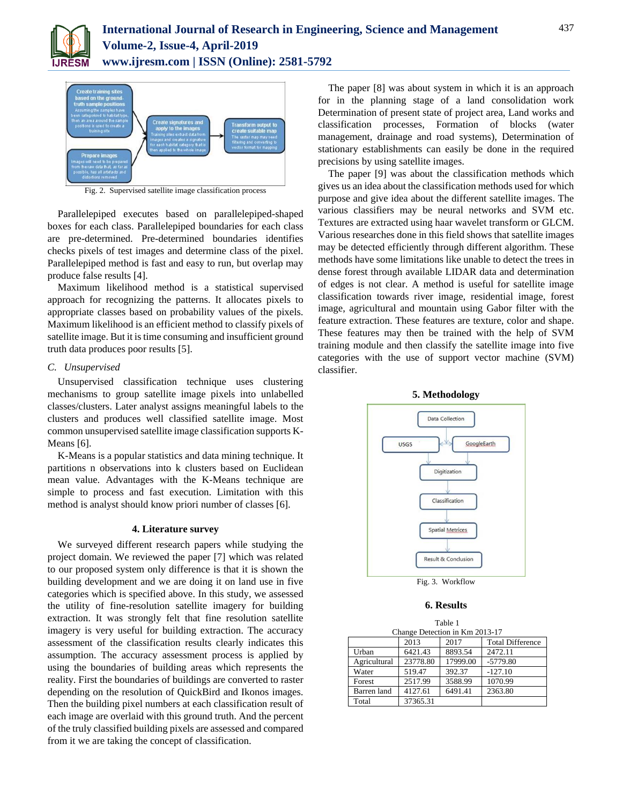



Fig. 2. Supervised satellite image classification process

Parallelepiped executes based on parallelepiped-shaped boxes for each class. Parallelepiped boundaries for each class are pre-determined. Pre-determined boundaries identifies checks pixels of test images and determine class of the pixel. Parallelepiped method is fast and easy to run, but overlap may produce false results [4].

Maximum likelihood method is a statistical supervised approach for recognizing the patterns. It allocates pixels to appropriate classes based on probability values of the pixels. Maximum likelihood is an efficient method to classify pixels of satellite image. But it is time consuming and insufficient ground truth data produces poor results [5].

## *C. Unsupervised*

Unsupervised classification technique uses clustering mechanisms to group satellite image pixels into unlabelled classes/clusters. Later analyst assigns meaningful labels to the clusters and produces well classified satellite image. Most common unsupervised satellite image classification supports K-Means [6].

K-Means is a popular statistics and data mining technique. It partitions n observations into k clusters based on Euclidean mean value. Advantages with the K-Means technique are simple to process and fast execution. Limitation with this method is analyst should know priori number of classes [6].

### **4. Literature survey**

We surveyed different research papers while studying the project domain. We reviewed the paper [7] which was related to our proposed system only difference is that it is shown the building development and we are doing it on land use in five categories which is specified above. In this study, we assessed the utility of fine-resolution satellite imagery for building extraction. It was strongly felt that fine resolution satellite imagery is very useful for building extraction. The accuracy assessment of the classification results clearly indicates this assumption. The accuracy assessment process is applied by using the boundaries of building areas which represents the reality. First the boundaries of buildings are converted to raster depending on the resolution of QuickBird and Ikonos images. Then the building pixel numbers at each classification result of each image are overlaid with this ground truth. And the percent of the truly classified building pixels are assessed and compared from it we are taking the concept of classification.

The paper [8] was about system in which it is an approach for in the planning stage of a land consolidation work Determination of present state of project area, Land works and classification processes, Formation of blocks (water management, drainage and road systems), Determination of stationary establishments can easily be done in the required precisions by using satellite images.

The paper [9] was about the classification methods which gives us an idea about the classification methods used for which purpose and give idea about the different satellite images. The various classifiers may be neural networks and SVM etc. Textures are extracted using haar wavelet transform or GLCM. Various researches done in this field shows that satellite images may be detected efficiently through different algorithm. These methods have some limitations like unable to detect the trees in dense forest through available LIDAR data and determination of edges is not clear. A method is useful for satellite image classification towards river image, residential image, forest image, agricultural and mountain using Gabor filter with the feature extraction. These features are texture, color and shape. These features may then be trained with the help of SVM training module and then classify the satellite image into five categories with the use of support vector machine (SVM) classifier.



**5. Methodology**

Fig. 3. Workflow

# **6. Results**

|                                |          | Table 1  |                         |  |  |  |
|--------------------------------|----------|----------|-------------------------|--|--|--|
| Change Detection in Km 2013-17 |          |          |                         |  |  |  |
|                                | 2013     | 2017     | <b>Total Difference</b> |  |  |  |
| Urban                          | 6421.43  | 8893.54  | 2472.11                 |  |  |  |
| Agricultural                   | 23778.80 | 17999.00 | $-5779.80$              |  |  |  |
| Water                          | 519.47   | 392.37   | $-127.10$               |  |  |  |
| Forest                         | 2517.99  | 3588.99  | 1070.99                 |  |  |  |
| Barren land                    | 4127.61  | 6491.41  | 2363.80                 |  |  |  |
| Total                          | 37365.31 |          |                         |  |  |  |